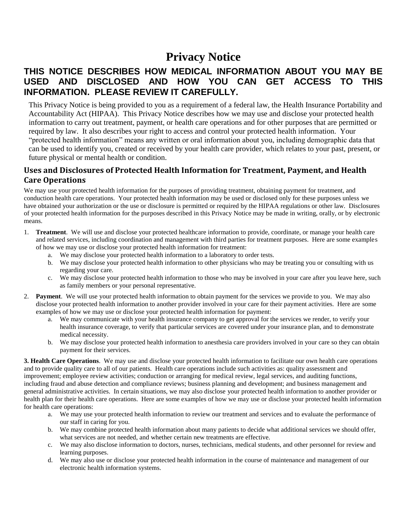# **Privacy Notice**

## **THIS NOTICE DESCRIBES HOW MEDICAL INFORMATION ABOUT YOU MAY BE USED AND DISCLOSED AND HOW YOU CAN GET ACCESS TO THIS INFORMATION. PLEASE REVIEW IT CAREFULLY.**

This Privacy Notice is being provided to you as a requirement of a federal law, the Health Insurance Portability and Accountability Act (HIPAA). This Privacy Notice describes how we may use and disclose your protected health information to carry out treatment, payment, or health care operations and for other purposes that are permitted or required by law. It also describes your right to access and control your protected health information. Your "protected health information" means any written or oral information about you, including demographic data that can be used to identify you, created or received by your health care provider, which relates to your past, present, or future physical or mental health or condition.

## **Uses and Disclosures of Protected Health Information for Treatment, Payment, and Health Care Operations**

We may use your protected health information for the purposes of providing treatment, obtaining payment for treatment, and conduction health care operations. Your protected health information may be used or disclosed only for these purposes unless we have obtained your authorization or the use or disclosure is permitted or required by the HIPAA regulations or other law. Disclosures of your protected health information for the purposes described in this Privacy Notice may be made in writing, orally, or by electronic means.

- 1. **Treatment**. We will use and disclose your protected healthcare information to provide, coordinate, or manage your health care and related services, including coordination and management with third parties for treatment purposes. Here are some examples of how we may use or disclose your protected health information for treatment:
	- a. We may disclose your protected health information to a laboratory to order tests.
	- b. We may disclose your protected health information to other physicians who may be treating you or consulting with us regarding your care.
	- c. We may disclose your protected health information to those who may be involved in your care after you leave here, such as family members or your personal representative.
- 2. **Payment**. We will use your protected health information to obtain payment for the services we provide to you. We may also disclose your protected health information to another provider involved in your care for their payment activities. Here are some examples of how we may use or disclose your protected health information for payment:
	- a. We may communicate with your health insurance company to get approval for the services we render, to verify your health insurance coverage, to verify that particular services are covered under your insurance plan, and to demonstrate medical necessity.
	- b. We may disclose your protected health information to anesthesia care providers involved in your care so they can obtain payment for their services.

**3. Health Care Operations**. We may use and disclose your protected health information to facilitate our own health care operations and to provide quality care to all of our patients. Health care operations include such activities as: quality assessment and improvement; employee review activities; conduction or arranging for medical review, legal services, and auditing functions, including fraud and abuse detection and compliance reviews; business planning and development; and business management and general administrative activities. In certain situations, we may also disclose your protected health information to another provider or health plan for their health care operations. Here are some examples of how we may use or disclose your protected health information for health care operations:

- a. We may use your protected health information to review our treatment and services and to evaluate the performance of our staff in caring for you.
- b. We may combine protected health information about many patients to decide what additional services we should offer, what services are not needed, and whether certain new treatments are effective.
- c. We may also disclose information to doctors, nurses, technicians, medical students, and other personnel for review and learning purposes.
- d. We may also use or disclose your protected health information in the course of maintenance and management of our electronic health information systems.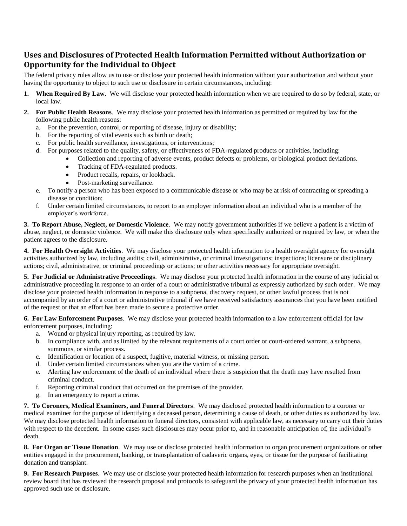## **Uses and Disclosures of Protected Health Information Permitted without Authorization or Opportunity for the Individual to Object**

The federal privacy rules allow us to use or disclose your protected health information without your authorization and without your having the opportunity to object to such use or disclosure in certain circumstances, including:

- **1. When Required By Law**. We will disclose your protected health information when we are required to do so by federal, state, or local law.
- **2. For Public Health Reasons**. We may disclose your protected health information as permitted or required by law for the following public health reasons:
	- a. For the prevention, control, or reporting of disease, injury or disability;
	- b. For the reporting of vital events such as birth or death;
	- c. For public health surveillance, investigations, or interventions;
	- d. For purposes related to the quality, safety, or effectiveness of FDA-regulated products or activities, including:
		- Collection and reporting of adverse events, product defects or problems, or biological product deviations.
		- Tracking of FDA-regulated products.
		- Product recalls, repairs, or lookback.
		- Post-marketing surveillance.
	- e. To notify a person who has been exposed to a communicable disease or who may be at risk of contracting or spreading a disease or condition;
	- f. Under certain limited circumstances, to report to an employer information about an individual who is a member of the employer's workforce.

**3. To Report Abuse, Neglect, or Domestic Violence**. We may notify government authorities if we believe a patient is a victim of abuse, neglect, or domestic violence. We will make this disclosure only when specifically authorized or required by law, or when the patient agrees to the disclosure.

**4. For Health Oversight Activities**. We may disclose your protected health information to a health oversight agency for oversight activities authorized by law, including audits; civil, administrative, or criminal investigations; inspections; licensure or disciplinary actions; civil, administrative, or criminal proceedings or actions; or other activities necessary for appropriate oversight.

**5. For Judicial or Administrative Proceedings**. We may disclose your protected health information in the course of any judicial or administrative proceeding in response to an order of a court or administrative tribunal as expressly authorized by such order. We may disclose your protected health information in response to a subpoena, discovery request, or other lawful process that is not accompanied by an order of a court or administrative tribunal if we have received satisfactory assurances that you have been notified of the request or that an effort has been made to secure a protective order.

**6. For Law Enforcement Purposes**. We may disclose your protected health information to a law enforcement official for law enforcement purposes, including:

- a. Wound or physical injury reporting, as required by law.
- b. In compliance with, and as limited by the relevant requirements of a court order or court-ordered warrant, a subpoena, summons, or similar process.
- c. Identification or location of a suspect, fugitive, material witness, or missing person.
- d. Under certain limited circumstances when you are the victim of a crime.
- e. Alerting law enforcement of the death of an individual where there is suspicion that the death may have resulted from criminal conduct.
- f. Reporting criminal conduct that occurred on the premises of the provider.
- g. In an emergency to report a crime.

**7. To Coroners, Medical Examiners, and Funeral Directors**. We may disclosed protected health information to a coroner or medical examiner for the purpose of identifying a deceased person, determining a cause of death, or other duties as authorized by law. We may disclose protected health information to funeral directors, consistent with applicable law, as necessary to carry out their duties with respect to the decedent. In some cases such disclosures may occur prior to, and in reasonable anticipation of, the individual's death.

**8. For Organ or Tissue Donation**. We may use or disclose protected health information to organ procurement organizations or other entities engaged in the procurement, banking, or transplantation of cadaveric organs, eyes, or tissue for the purpose of facilitating donation and transplant.

**9. For Research Purposes**. We may use or disclose your protected health information for research purposes when an institutional review board that has reviewed the research proposal and protocols to safeguard the privacy of your protected health information has approved such use or disclosure.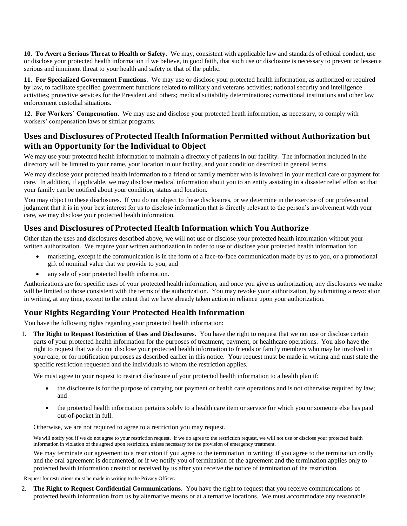**10. To Avert a Serious Threat to Health or Safety**. We may, consistent with applicable law and standards of ethical conduct, use or disclose your protected health information if we believe, in good faith, that such use or disclosure is necessary to prevent or lessen a serious and imminent threat to your health and safety or that of the public.

**11. For Specialized Government Functions**. We may use or disclose your protected health information, as authorized or required by law, to facilitate specified government functions related to military and veterans activities; national security and intelligence activities; protective services for the President and others; medical suitability determinations; correctional institutions and other law enforcement custodial situations.

**12. For Workers' Compensation**. We may use and disclose your protected heath information, as necessary, to comply with workers' compensation laws or similar programs.

## **Uses and Disclosures of Protected Health Information Permitted without Authorization but with an Opportunity for the Individual to Object**

We may use your protected health information to maintain a directory of patients in our facility. The information included in the directory will be limited to your name, your location in our facility, and your condition described in general terms.

We may disclose your protected health information to a friend or family member who is involved in your medical care or payment for care. In addition, if applicable, we may disclose medical information about you to an entity assisting in a disaster relief effort so that your family can be notified about your condition, status and location.

You may object to these disclosures. If you do not object to these disclosures, or we determine in the exercise of our professional judgment that it is in your best interest for us to disclose information that is directly relevant to the person's involvement with your care, we may disclose your protected health information.

#### **Uses and Disclosures of Protected Health Information which You Authorize**

Other than the uses and disclosures described above, we will not use or disclose your protected health information without your written authorization. We require your written authorization in order to use or disclose your protected health information for:

- marketing, except if the communication is in the form of a face-to-face communication made by us to you, or a promotional gift of nominal value that we provide to you, and
- any sale of your protected health information.

Authorizations are for specific uses of your protected health information, and once you give us authorization, any disclosures we make will be limited to those consistent with the terms of the authorization. You may revoke your authorization, by submitting a revocation in writing, at any time, except to the extent that we have already taken action in reliance upon your authorization.

### **Your Rights Regarding Your Protected Health Information**

You have the following rights regarding your protected health information:

1. **The Right to Request Restriction of Uses and Disclosures**. You have the right to request that we not use or disclose certain parts of your protected health information for the purposes of treatment, payment, or healthcare operations. You also have the right to request that we do not disclose your protected health information to friends or family members who may be involved in your care, or for notification purposes as described earlier in this notice. Your request must be made in writing and must state the specific restriction requested and the individuals to whom the restriction applies.

We must agree to your request to restrict disclosure of your protected health information to a health plan if:

- the disclosure is for the purpose of carrying out payment or health care operations and is not otherwise required by law; and
- the protected health information pertains solely to a health care item or service for which you or someone else has paid out-of-pocket in full.

Otherwise, we are not required to agree to a restriction you may request.

We will notify you if we do not agree to your restriction request. If we do agree to the restriction request, we will not use or disclose your protected health information in violation of the agreed upon restriction, unless necessary for the provision of emergency treatment.

We may terminate our agreement to a restriction if you agree to the termination in writing; if you agree to the termination orally and the oral agreement is documented, or if we notify you of termination of the agreement and the termination applies only to protected health information created or received by us after you receive the notice of termination of the restriction.

Request for restrictions must be made in writing to the Privacy Officer.

2. **The Right to Request Confidential Communications**. You have the right to request that you receive communications of protected health information from us by alternative means or at alternative locations. We must accommodate any reasonable